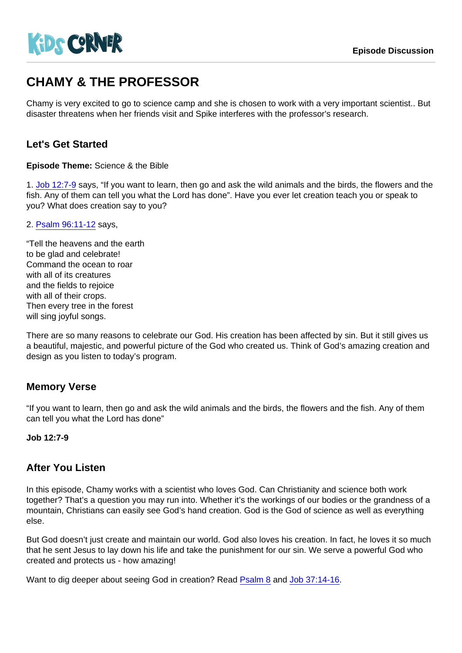# CHAMY & THE PROFESSOR

Chamy is very excited to go to science camp and she is chosen to work with a very important scientist.. But disaster threatens when her friends visit and Spike interferes with the professor's research.

## Let's Get Started

Episode Theme: Science & the Bible

1. [Job 12:7-9](https://www.biblegateway.com/passage/?search=Job+12:7-9) says, "If you want to learn, then go and ask the wild animals and the birds, the flowers and the fish. Any of them can tell you what the Lord has done". Have you ever let creation teach you or speak to you? What does creation say to you?

2. [Psalm 96:11-12](https://www.biblegateway.com/passage/?search=Psalm+96:11-12) says,

"Tell the heavens and the earth to be glad and celebrate! Command the ocean to roar with all of its creatures and the fields to rejoice with all of their crops. Then every tree in the forest will sing joyful songs.

There are so many reasons to celebrate our God. His creation has been affected by sin. But it still gives us a beautiful, majestic, and powerful picture of the God who created us. Think of God's amazing creation and design as you listen to today's program.

### Memory Verse

"If you want to learn, then go and ask the wild animals and the birds, the flowers and the fish. Any of them can tell you what the Lord has done"

Job 12:7-9

### After You Listen

In this episode, Chamy works with a scientist who loves God. Can Christianity and science both work together? That's a question you may run into. Whether it's the workings of our bodies or the grandness of a mountain, Christians can easily see God's hand creation. God is the God of science as well as everything else.

But God doesn't just create and maintain our world. God also loves his creation. In fact, he loves it so much that he sent Jesus to lay down his life and take the punishment for our sin. We serve a powerful God who created and protects us - how amazing!

Want to dig deeper about seeing God in creation? Read [Psalm 8](https://www.biblegateway.com/passage/?search=Psalm+8) and [Job 37:14-16.](https://www.biblegateway.com/passage/?search=Job+37:14-16)